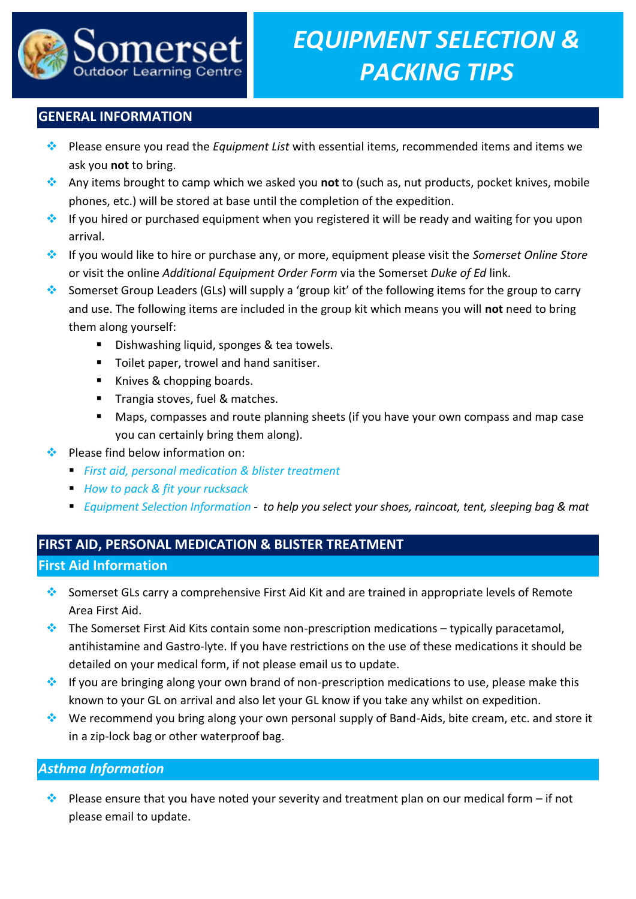

# **GENERAL INFORMATION**

- Please ensure you read the *Equipment List* with essential items, recommended items and items we ask you **not** to bring.
- Any items brought to camp which we asked you **not** to (such as, nut products, pocket knives, mobile phones, etc.) will be stored at base until the completion of the expedition.
- **If you hired or purchased equipment when you registered it will be ready and waiting for you upon** arrival.
- If you would like to hire or purchase any, or more, equipment please visit the *Somerset Online Store* or visit the online *Additional Equipment Order Form* via the Somerset *Duke of Ed* link.
- Somerset Group Leaders (GLs) will supply a 'group kit' of the following items for the group to carry and use. The following items are included in the group kit which means you will **not** need to bring them along yourself:
	- **Dishwashing liquid, sponges & tea towels.**
	- **Toilet paper, trowel and hand sanitiser.**
	- Knives & chopping boards.
	- **Trangia stoves, fuel & matches.**
	- Maps, compasses and route planning sheets (if you have your own compass and map case you can certainly bring them along).
- $\div$  Please find below information on:
	- *First aid, personal medication & blister treatment*
	- *How to pack & fit your rucksack*
	- *Equipment Selection Information - to help you select your shoes, raincoat, tent, sleeping bag & mat*

# **FIRST AID, PERSONAL MEDICATION & BLISTER TREATMENT**

# **First Aid Information**

- Somerset GLs carry a comprehensive First Aid Kit and are trained in appropriate levels of Remote Area First Aid.
- The Somerset First Aid Kits contain some non-prescription medications typically paracetamol, antihistamine and Gastro-lyte. If you have restrictions on the use of these medications it should be detailed on your medical form, if not please email us to update.
- $\cdot$  If you are bringing along your own brand of non-prescription medications to use, please make this known to your GL on arrival and also let your GL know if you take any whilst on expedition.
- $\cdot$  We recommend you bring along your own personal supply of Band-Aids, bite cream, etc. and store it in a zip-lock bag or other waterproof bag.

## *Asthma Information*

Please ensure that you have noted your severity and treatment plan on our medical form – if not please email to update.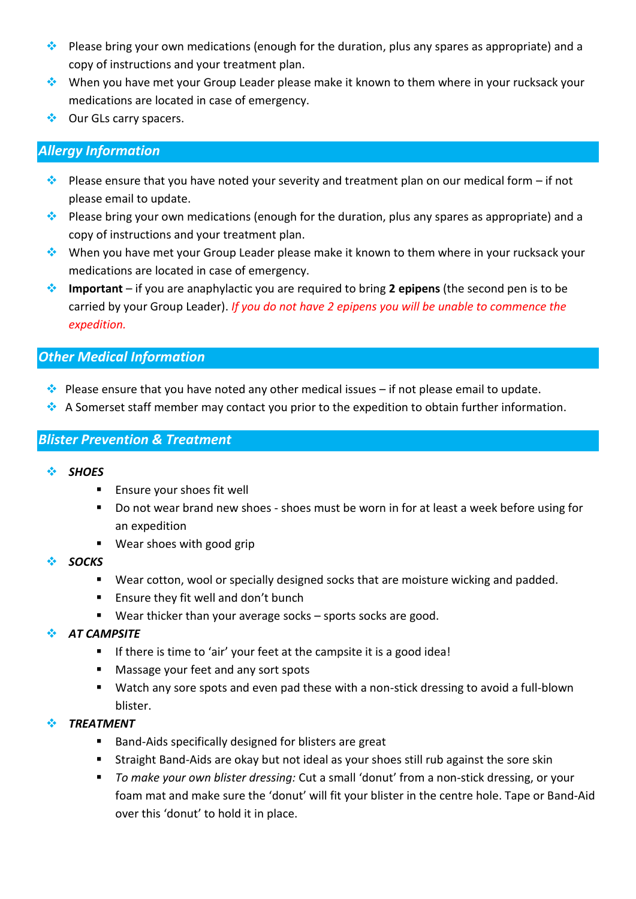- $\cdot$  Please bring your own medications (enough for the duration, plus any spares as appropriate) and a copy of instructions and your treatment plan.
- When you have met your Group Leader please make it known to them where in your rucksack your medications are located in case of emergency.
- ❖ Our GLs carry spacers.

# *Allergy Information*

- Please ensure that you have noted your severity and treatment plan on our medical form if not please email to update.
- $\cdot$  Please bring your own medications (enough for the duration, plus any spares as appropriate) and a copy of instructions and your treatment plan.
- When you have met your Group Leader please make it known to them where in your rucksack your medications are located in case of emergency.
- **Important**  if you are anaphylactic you are required to bring **2 epipens** (the second pen is to be carried by your Group Leader). *If you do not have 2 epipens you will be unable to commence the expedition.*

## *Other Medical Information*

- $\bullet$  Please ensure that you have noted any other medical issues if not please email to update.
- A Somerset staff member may contact you prior to the expedition to obtain further information.

# *Blister Prevention & Treatment*

- *SHOES*
	- **Ensure your shoes fit well**
	- Do not wear brand new shoes shoes must be worn in for at least a week before using for an expedition
	- Wear shoes with good grip
- *SOCKS*
	- Wear cotton, wool or specially designed socks that are moisture wicking and padded.
	- **Ensure they fit well and don't bunch**
	- Wear thicker than your average socks sports socks are good.
- *AT CAMPSITE*
	- **If there is time to 'air' your feet at the campsite it is a good idea!**
	- Massage your feet and any sort spots
	- Watch any sore spots and even pad these with a non-stick dressing to avoid a full-blown blister.
- *TREATMENT*
	- Band-Aids specifically designed for blisters are great
	- Straight Band-Aids are okay but not ideal as your shoes still rub against the sore skin
	- *To make your own blister dressing:* Cut a small 'donut' from a non-stick dressing, or your foam mat and make sure the 'donut' will fit your blister in the centre hole. Tape or Band-Aid over this 'donut' to hold it in place.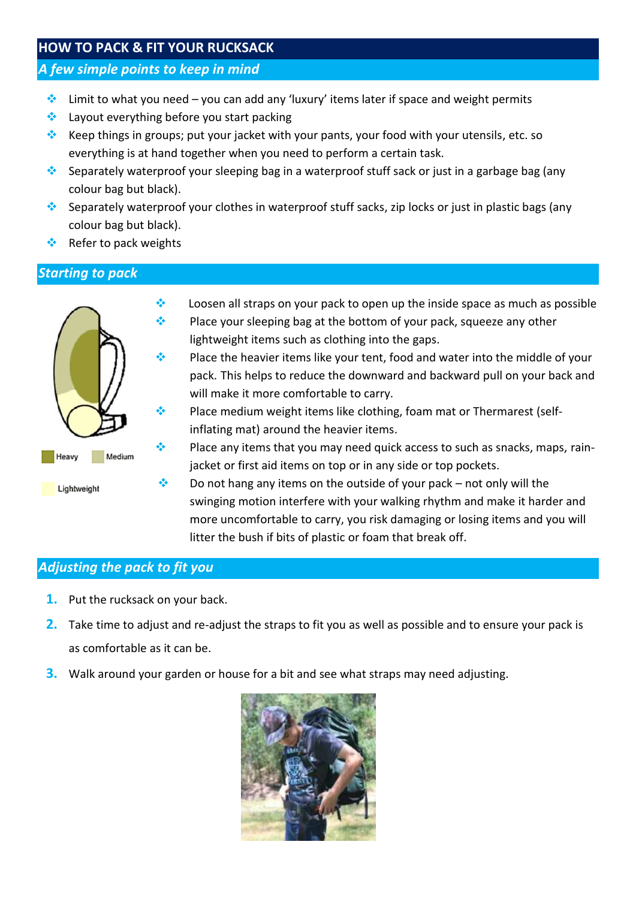# **HOW TO PACK & FIT YOUR RUCKSACK**

### *A few simple points to keep in mind*

- $\cdot$  Limit to what you need you can add any 'luxury' items later if space and weight permits
- $\triangleq$  Layout everything before you start packing
- Keep things in groups; put your jacket with your pants, your food with your utensils, etc. so everything is at hand together when you need to perform a certain task.
- Separately waterproof your sleeping bag in a waterproof stuff sack or just in a garbage bag (any colour bag but black).
- Separately waterproof your clothes in waterproof stuff sacks, zip locks or just in plastic bags (any colour bag but black).
- Refer to pack weights

# *Starting to pack*



- $\cdot$  Loosen all straps on your pack to open up the inside space as much as possible  $\bullet$  Place your sleeping bag at the bottom of your pack, squeeze any other lightweight items such as clothing into the gaps.
- **Place the heavier items like your tent, food and water into the middle of your** pack. This helps to reduce the downward and backward pull on your back and will make it more comfortable to carry.
- $\bullet$  Place medium weight items like clothing, foam mat or Thermarest (selfinflating mat) around the heavier items.
- Place any items that you may need quick access to such as snacks, maps, rainjacket or first aid items on top or in any side or top pockets.
- $\cdot$  Do not hang any items on the outside of your pack not only will the swinging motion interfere with your walking rhythm and make it harder and more uncomfortable to carry, you risk damaging or losing items and you will litter the bush if bits of plastic or foam that break off.

## *Adjusting the pack to fit you*

- **1.** Put the rucksack on your back.
- **2.** Take time to adjust and re-adjust the straps to fit you as well as possible and to ensure your pack is as comfortable as it can be.
- **3.** Walk around your garden or house for a bit and see what straps may need adjusting.

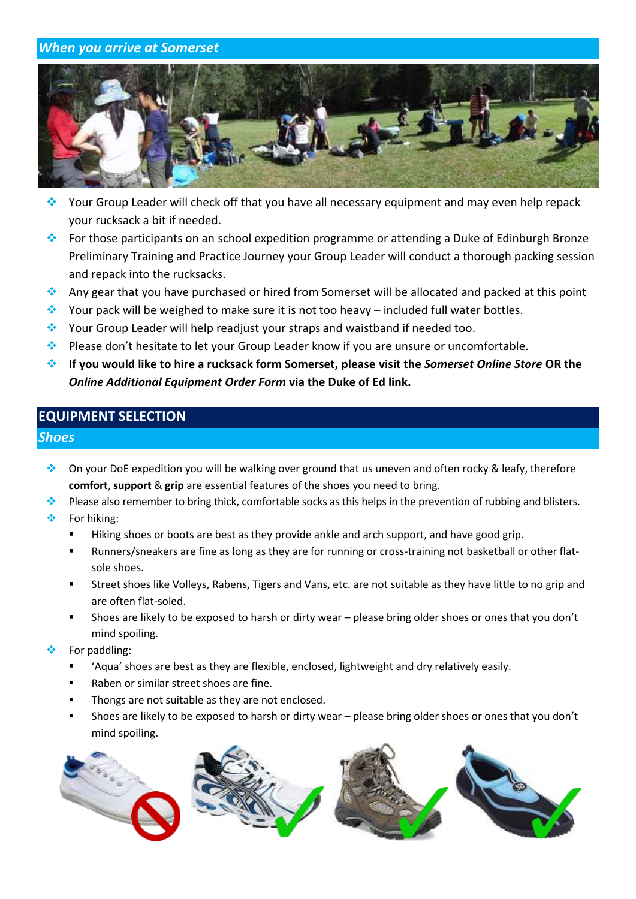### *When you arrive at Somerset*



- ◆ Your Group Leader will check off that you have all necessary equipment and may even help repack your rucksack a bit if needed.
- ◆ For those participants on an school expedition programme or attending a Duke of Edinburgh Bronze Preliminary Training and Practice Journey your Group Leader will conduct a thorough packing session and repack into the rucksacks.
- Any gear that you have purchased or hired from Somerset will be allocated and packed at this point
- Your pack will be weighed to make sure it is not too heavy included full water bottles.
- ◆ Your Group Leader will help readjust your straps and waistband if needed too.
- Please don't hesitate to let your Group Leader know if you are unsure or uncomfortable.
- **If you would like to hire a rucksack form Somerset, please visit the** *Somerset Online Store* **OR the**  *Online Additional Equipment Order Form* **via the Duke of Ed link.**

# **EQUIPMENT SELECTION**

#### *Shoes*

- ◆ On your DoE expedition you will be walking over ground that us uneven and often rocky & leafy, therefore **comfort**, **support** & **grip** are essential features of the shoes you need to bring.
- Please also remember to bring thick, comfortable socks as this helps in the prevention of rubbing and blisters.
- $\div$  For hiking:
	- Hiking shoes or boots are best as they provide ankle and arch support, and have good grip.
	- Runners/sneakers are fine as long as they are for running or cross-training not basketball or other flatsole shoes.
	- Street shoes like Volleys, Rabens, Tigers and Vans, etc. are not suitable as they have little to no grip and are often flat-soled.
	- Shoes are likely to be exposed to harsh or dirty wear please bring older shoes or ones that you don't mind spoiling.
- For paddling:
	- 'Aqua' shoes are best as they are flexible, enclosed, lightweight and dry relatively easily.
	- Raben or similar street shoes are fine.
	- Thongs are not suitable as they are not enclosed.
	- Shoes are likely to be exposed to harsh or dirty wear please bring older shoes or ones that you don't mind spoiling.